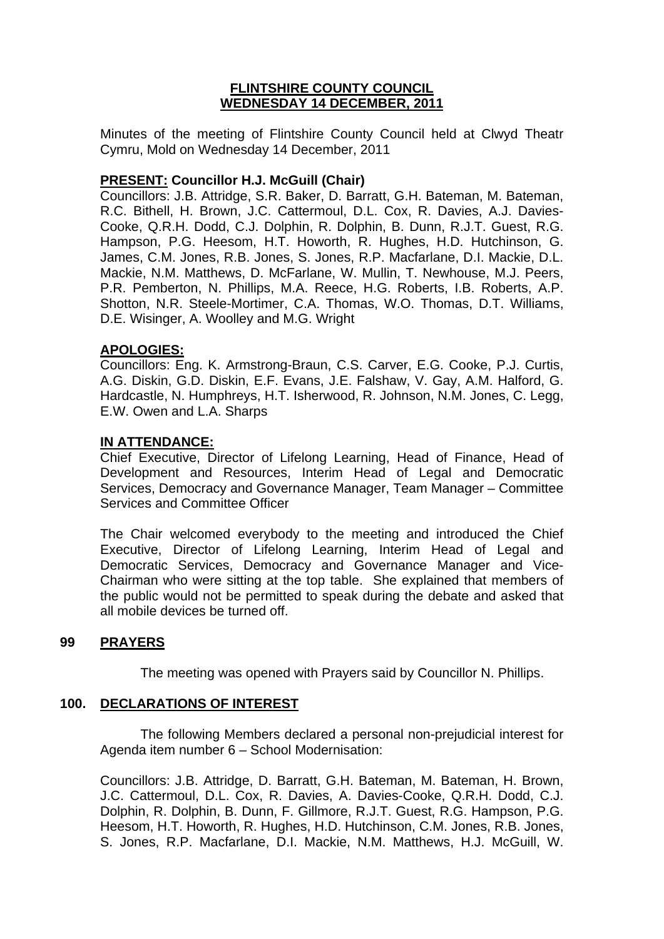## **FLINTSHIRE COUNTY COUNCIL WEDNESDAY 14 DECEMBER, 2011**

Minutes of the meeting of Flintshire County Council held at Clwyd Theatr Cymru, Mold on Wednesday 14 December, 2011

# **PRESENT: Councillor H.J. McGuill (Chair)**

Councillors: J.B. Attridge, S.R. Baker, D. Barratt, G.H. Bateman, M. Bateman, R.C. Bithell, H. Brown, J.C. Cattermoul, D.L. Cox, R. Davies, A.J. Davies-Cooke, Q.R.H. Dodd, C.J. Dolphin, R. Dolphin, B. Dunn, R.J.T. Guest, R.G. Hampson, P.G. Heesom, H.T. Howorth, R. Hughes, H.D. Hutchinson, G. James, C.M. Jones, R.B. Jones, S. Jones, R.P. Macfarlane, D.I. Mackie, D.L. Mackie, N.M. Matthews, D. McFarlane, W. Mullin, T. Newhouse, M.J. Peers, P.R. Pemberton, N. Phillips, M.A. Reece, H.G. Roberts, I.B. Roberts, A.P. Shotton, N.R. Steele-Mortimer, C.A. Thomas, W.O. Thomas, D.T. Williams, D.E. Wisinger, A. Woolley and M.G. Wright

## **APOLOGIES:**

Councillors: Eng. K. Armstrong-Braun, C.S. Carver, E.G. Cooke, P.J. Curtis, A.G. Diskin, G.D. Diskin, E.F. Evans, J.E. Falshaw, V. Gay, A.M. Halford, G. Hardcastle, N. Humphreys, H.T. Isherwood, R. Johnson, N.M. Jones, C. Legg, E.W. Owen and L.A. Sharps

## **IN ATTENDANCE:**

Chief Executive, Director of Lifelong Learning, Head of Finance, Head of Development and Resources, Interim Head of Legal and Democratic Services, Democracy and Governance Manager, Team Manager – Committee Services and Committee Officer

The Chair welcomed everybody to the meeting and introduced the Chief Executive, Director of Lifelong Learning, Interim Head of Legal and Democratic Services, Democracy and Governance Manager and Vice-Chairman who were sitting at the top table. She explained that members of the public would not be permitted to speak during the debate and asked that all mobile devices be turned off.

## **99 PRAYERS**

The meeting was opened with Prayers said by Councillor N. Phillips.

## **100. DECLARATIONS OF INTEREST**

 The following Members declared a personal non-prejudicial interest for Agenda item number 6 – School Modernisation:

Councillors: J.B. Attridge, D. Barratt, G.H. Bateman, M. Bateman, H. Brown, J.C. Cattermoul, D.L. Cox, R. Davies, A. Davies-Cooke, Q.R.H. Dodd, C.J. Dolphin, R. Dolphin, B. Dunn, F. Gillmore, R.J.T. Guest, R.G. Hampson, P.G. Heesom, H.T. Howorth, R. Hughes, H.D. Hutchinson, C.M. Jones, R.B. Jones, S. Jones, R.P. Macfarlane, D.I. Mackie, N.M. Matthews, H.J. McGuill, W.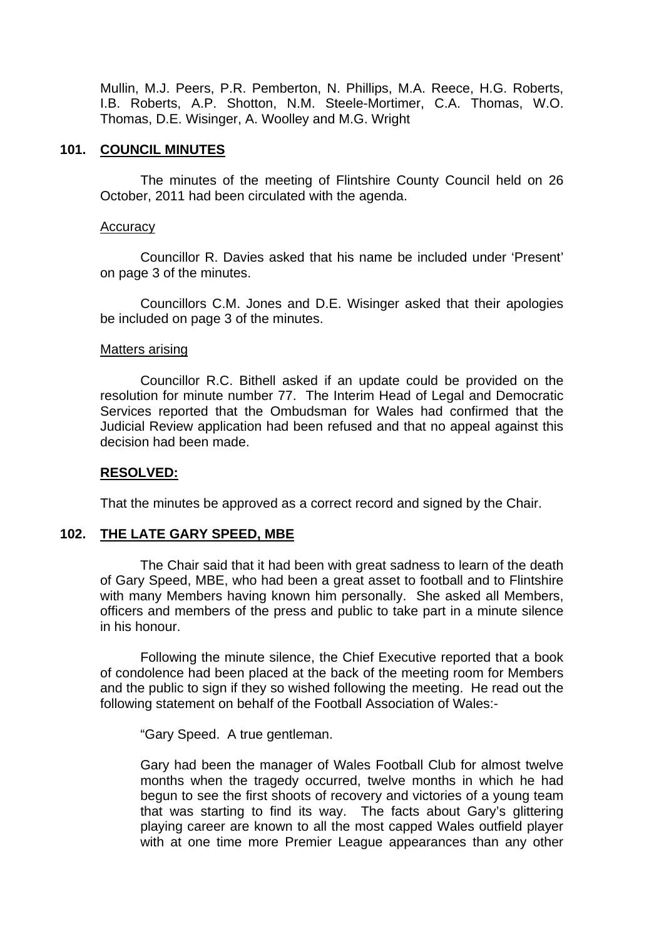Mullin, M.J. Peers, P.R. Pemberton, N. Phillips, M.A. Reece, H.G. Roberts, I.B. Roberts, A.P. Shotton, N.M. Steele-Mortimer, C.A. Thomas, W.O. Thomas, D.E. Wisinger, A. Woolley and M.G. Wright

### **101. COUNCIL MINUTES**

The minutes of the meeting of Flintshire County Council held on 26 October, 2011 had been circulated with the agenda.

#### **Accuracy**

 Councillor R. Davies asked that his name be included under 'Present' on page 3 of the minutes.

 Councillors C.M. Jones and D.E. Wisinger asked that their apologies be included on page 3 of the minutes.

#### Matters arising

 Councillor R.C. Bithell asked if an update could be provided on the resolution for minute number 77. The Interim Head of Legal and Democratic Services reported that the Ombudsman for Wales had confirmed that the Judicial Review application had been refused and that no appeal against this decision had been made.

#### **RESOLVED:**

That the minutes be approved as a correct record and signed by the Chair.

#### **102. THE LATE GARY SPEED, MBE**

 The Chair said that it had been with great sadness to learn of the death of Gary Speed, MBE, who had been a great asset to football and to Flintshire with many Members having known him personally. She asked all Members, officers and members of the press and public to take part in a minute silence in his honour.

Following the minute silence, the Chief Executive reported that a book of condolence had been placed at the back of the meeting room for Members and the public to sign if they so wished following the meeting. He read out the following statement on behalf of the Football Association of Wales:-

"Gary Speed. A true gentleman.

Gary had been the manager of Wales Football Club for almost twelve months when the tragedy occurred, twelve months in which he had begun to see the first shoots of recovery and victories of a young team that was starting to find its way. The facts about Gary's glittering playing career are known to all the most capped Wales outfield player with at one time more Premier League appearances than any other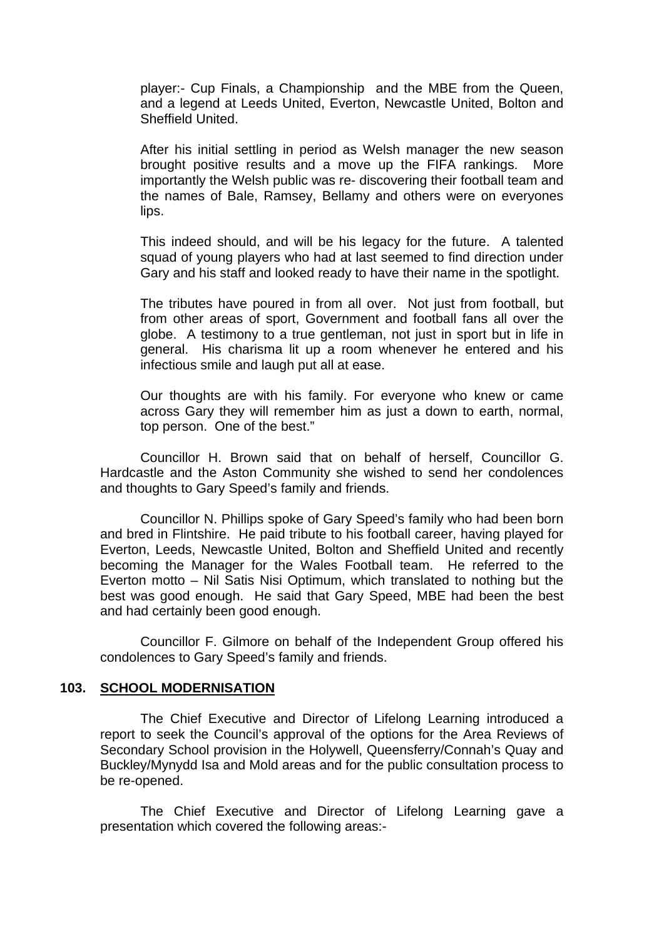player:- Cup Finals, a Championship and the MBE from the Queen, and a legend at Leeds United, Everton, Newcastle United, Bolton and Sheffield United.

After his initial settling in period as Welsh manager the new season brought positive results and a move up the FIFA rankings. More importantly the Welsh public was re- discovering their football team and the names of Bale, Ramsey, Bellamy and others were on everyones lips.

This indeed should, and will be his legacy for the future. A talented squad of young players who had at last seemed to find direction under Gary and his staff and looked ready to have their name in the spotlight.

The tributes have poured in from all over. Not just from football, but from other areas of sport, Government and football fans all over the globe. A testimony to a true gentleman, not just in sport but in life in general. His charisma lit up a room whenever he entered and his infectious smile and laugh put all at ease.

Our thoughts are with his family. For everyone who knew or came across Gary they will remember him as just a down to earth, normal, top person. One of the best."

 Councillor H. Brown said that on behalf of herself, Councillor G. Hardcastle and the Aston Community she wished to send her condolences and thoughts to Gary Speed's family and friends.

 Councillor N. Phillips spoke of Gary Speed's family who had been born and bred in Flintshire. He paid tribute to his football career, having played for Everton, Leeds, Newcastle United, Bolton and Sheffield United and recently becoming the Manager for the Wales Football team. He referred to the Everton motto – Nil Satis Nisi Optimum, which translated to nothing but the best was good enough. He said that Gary Speed, MBE had been the best and had certainly been good enough.

 Councillor F. Gilmore on behalf of the Independent Group offered his condolences to Gary Speed's family and friends.

#### **103. SCHOOL MODERNISATION**

The Chief Executive and Director of Lifelong Learning introduced a report to seek the Council's approval of the options for the Area Reviews of Secondary School provision in the Holywell, Queensferry/Connah's Quay and Buckley/Mynydd Isa and Mold areas and for the public consultation process to be re-opened.

 The Chief Executive and Director of Lifelong Learning gave a presentation which covered the following areas:-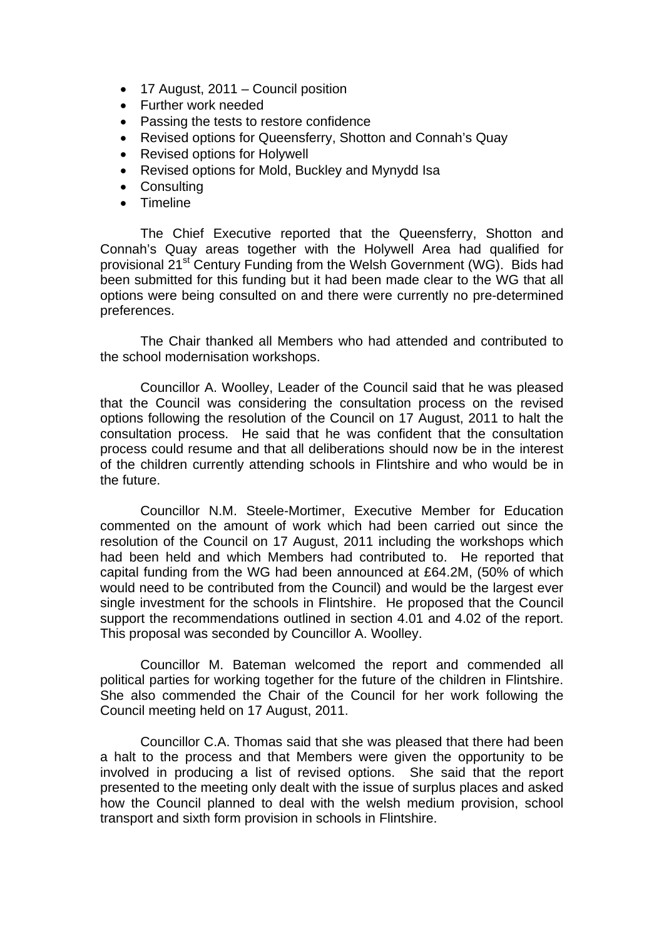- 17 August, 2011 Council position
- Further work needed
- Passing the tests to restore confidence
- Revised options for Queensferry, Shotton and Connah's Quay
- Revised options for Holywell
- Revised options for Mold, Buckley and Mynydd Isa
- Consulting
- Timeline

The Chief Executive reported that the Queensferry, Shotton and Connah's Quay areas together with the Holywell Area had qualified for provisional 21<sup>st</sup> Century Funding from the Welsh Government (WG). Bids had been submitted for this funding but it had been made clear to the WG that all options were being consulted on and there were currently no pre-determined preferences.

The Chair thanked all Members who had attended and contributed to the school modernisation workshops.

Councillor A. Woolley, Leader of the Council said that he was pleased that the Council was considering the consultation process on the revised options following the resolution of the Council on 17 August, 2011 to halt the consultation process. He said that he was confident that the consultation process could resume and that all deliberations should now be in the interest of the children currently attending schools in Flintshire and who would be in the future.

Councillor N.M. Steele-Mortimer, Executive Member for Education commented on the amount of work which had been carried out since the resolution of the Council on 17 August, 2011 including the workshops which had been held and which Members had contributed to. He reported that capital funding from the WG had been announced at £64.2M, (50% of which would need to be contributed from the Council) and would be the largest ever single investment for the schools in Flintshire. He proposed that the Council support the recommendations outlined in section 4.01 and 4.02 of the report. This proposal was seconded by Councillor A. Woolley.

Councillor M. Bateman welcomed the report and commended all political parties for working together for the future of the children in Flintshire. She also commended the Chair of the Council for her work following the Council meeting held on 17 August, 2011.

Councillor C.A. Thomas said that she was pleased that there had been a halt to the process and that Members were given the opportunity to be involved in producing a list of revised options. She said that the report presented to the meeting only dealt with the issue of surplus places and asked how the Council planned to deal with the welsh medium provision, school transport and sixth form provision in schools in Flintshire.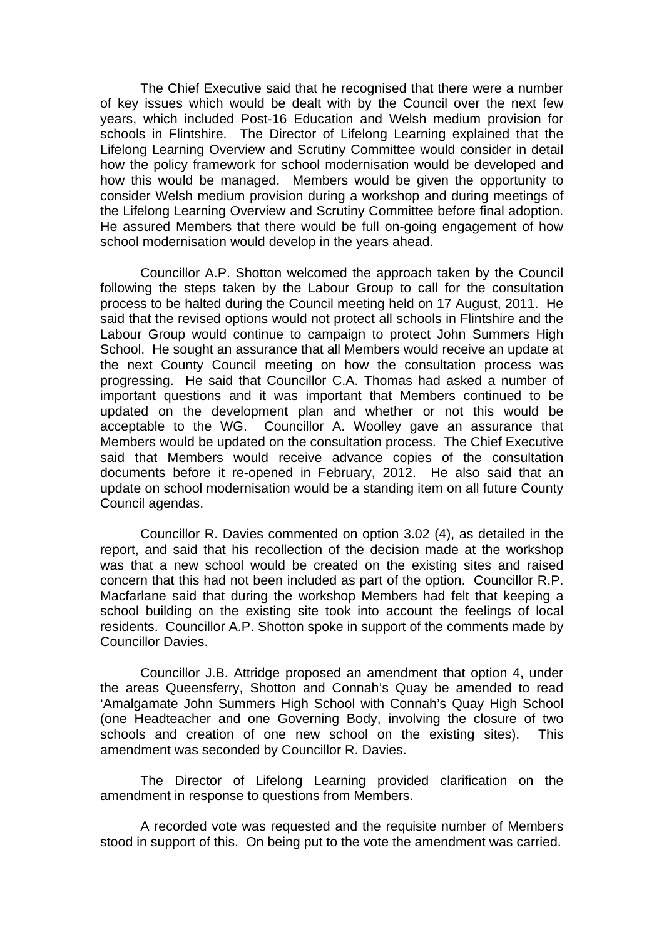The Chief Executive said that he recognised that there were a number of key issues which would be dealt with by the Council over the next few years, which included Post-16 Education and Welsh medium provision for schools in Flintshire. The Director of Lifelong Learning explained that the Lifelong Learning Overview and Scrutiny Committee would consider in detail how the policy framework for school modernisation would be developed and how this would be managed. Members would be given the opportunity to consider Welsh medium provision during a workshop and during meetings of the Lifelong Learning Overview and Scrutiny Committee before final adoption. He assured Members that there would be full on-going engagement of how school modernisation would develop in the years ahead.

Councillor A.P. Shotton welcomed the approach taken by the Council following the steps taken by the Labour Group to call for the consultation process to be halted during the Council meeting held on 17 August, 2011. He said that the revised options would not protect all schools in Flintshire and the Labour Group would continue to campaign to protect John Summers High School. He sought an assurance that all Members would receive an update at the next County Council meeting on how the consultation process was progressing. He said that Councillor C.A. Thomas had asked a number of important questions and it was important that Members continued to be updated on the development plan and whether or not this would be acceptable to the WG. Councillor A. Woolley gave an assurance that Members would be updated on the consultation process. The Chief Executive said that Members would receive advance copies of the consultation documents before it re-opened in February, 2012. He also said that an update on school modernisation would be a standing item on all future County Council agendas.

Councillor R. Davies commented on option 3.02 (4), as detailed in the report, and said that his recollection of the decision made at the workshop was that a new school would be created on the existing sites and raised concern that this had not been included as part of the option. Councillor R.P. Macfarlane said that during the workshop Members had felt that keeping a school building on the existing site took into account the feelings of local residents. Councillor A.P. Shotton spoke in support of the comments made by Councillor Davies.

Councillor J.B. Attridge proposed an amendment that option 4, under the areas Queensferry, Shotton and Connah's Quay be amended to read 'Amalgamate John Summers High School with Connah's Quay High School (one Headteacher and one Governing Body, involving the closure of two schools and creation of one new school on the existing sites). This amendment was seconded by Councillor R. Davies.

The Director of Lifelong Learning provided clarification on the amendment in response to questions from Members.

A recorded vote was requested and the requisite number of Members stood in support of this. On being put to the vote the amendment was carried.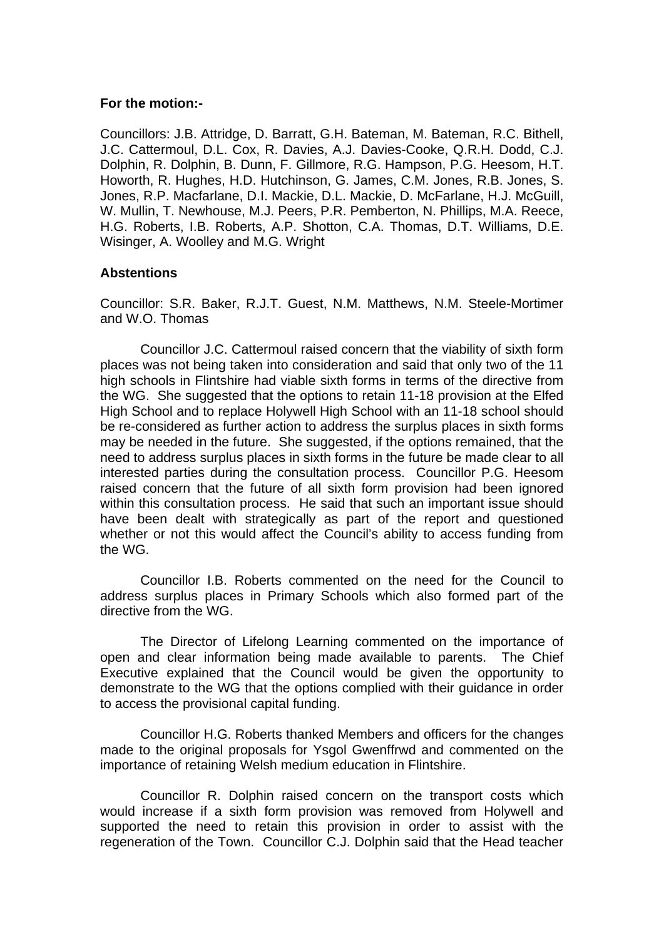#### **For the motion:-**

Councillors: J.B. Attridge, D. Barratt, G.H. Bateman, M. Bateman, R.C. Bithell, J.C. Cattermoul, D.L. Cox, R. Davies, A.J. Davies-Cooke, Q.R.H. Dodd, C.J. Dolphin, R. Dolphin, B. Dunn, F. Gillmore, R.G. Hampson, P.G. Heesom, H.T. Howorth, R. Hughes, H.D. Hutchinson, G. James, C.M. Jones, R.B. Jones, S. Jones, R.P. Macfarlane, D.I. Mackie, D.L. Mackie, D. McFarlane, H.J. McGuill, W. Mullin, T. Newhouse, M.J. Peers, P.R. Pemberton, N. Phillips, M.A. Reece, H.G. Roberts, I.B. Roberts, A.P. Shotton, C.A. Thomas, D.T. Williams, D.E. Wisinger, A. Woolley and M.G. Wright

#### **Abstentions**

Councillor: S.R. Baker, R.J.T. Guest, N.M. Matthews, N.M. Steele-Mortimer and W.O. Thomas

 Councillor J.C. Cattermoul raised concern that the viability of sixth form places was not being taken into consideration and said that only two of the 11 high schools in Flintshire had viable sixth forms in terms of the directive from the WG. She suggested that the options to retain 11-18 provision at the Elfed High School and to replace Holywell High School with an 11-18 school should be re-considered as further action to address the surplus places in sixth forms may be needed in the future. She suggested, if the options remained, that the need to address surplus places in sixth forms in the future be made clear to all interested parties during the consultation process. Councillor P.G. Heesom raised concern that the future of all sixth form provision had been ignored within this consultation process. He said that such an important issue should have been dealt with strategically as part of the report and questioned whether or not this would affect the Council's ability to access funding from the WG.

Councillor I.B. Roberts commented on the need for the Council to address surplus places in Primary Schools which also formed part of the directive from the WG.

 The Director of Lifelong Learning commented on the importance of open and clear information being made available to parents. The Chief Executive explained that the Council would be given the opportunity to demonstrate to the WG that the options complied with their guidance in order to access the provisional capital funding.

 Councillor H.G. Roberts thanked Members and officers for the changes made to the original proposals for Ysgol Gwenffrwd and commented on the importance of retaining Welsh medium education in Flintshire.

 Councillor R. Dolphin raised concern on the transport costs which would increase if a sixth form provision was removed from Holywell and supported the need to retain this provision in order to assist with the regeneration of the Town. Councillor C.J. Dolphin said that the Head teacher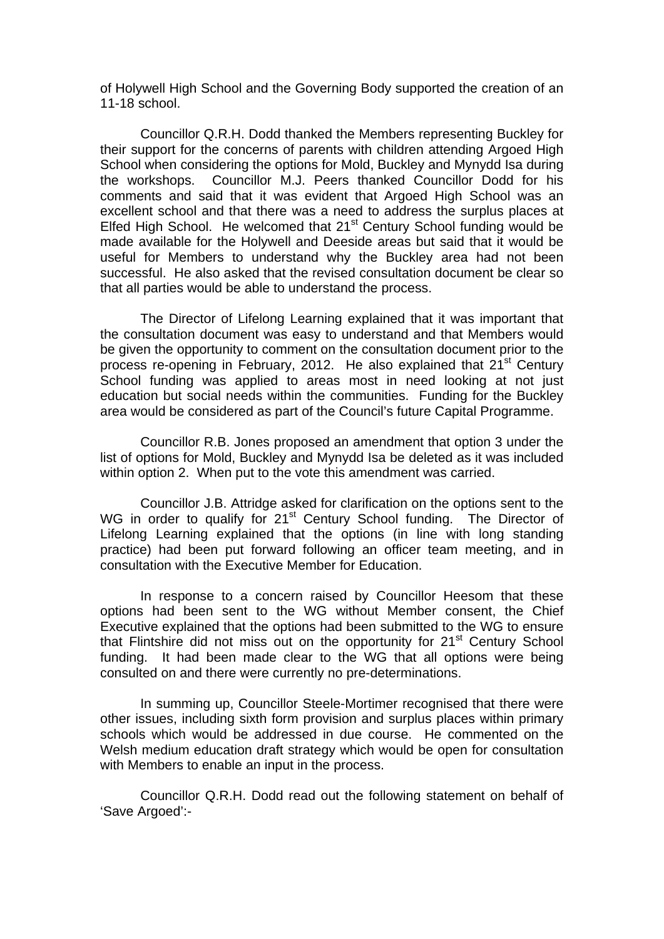of Holywell High School and the Governing Body supported the creation of an 11-18 school.

Councillor Q.R.H. Dodd thanked the Members representing Buckley for their support for the concerns of parents with children attending Argoed High School when considering the options for Mold, Buckley and Mynydd Isa during the workshops. Councillor M.J. Peers thanked Councillor Dodd for his comments and said that it was evident that Argoed High School was an excellent school and that there was a need to address the surplus places at Elfed High School. He welcomed that 21<sup>st</sup> Century School funding would be made available for the Holywell and Deeside areas but said that it would be useful for Members to understand why the Buckley area had not been successful. He also asked that the revised consultation document be clear so that all parties would be able to understand the process.

The Director of Lifelong Learning explained that it was important that the consultation document was easy to understand and that Members would be given the opportunity to comment on the consultation document prior to the process re-opening in February, 2012. He also explained that 21<sup>st</sup> Century School funding was applied to areas most in need looking at not just education but social needs within the communities. Funding for the Buckley area would be considered as part of the Council's future Capital Programme.

Councillor R.B. Jones proposed an amendment that option 3 under the list of options for Mold, Buckley and Mynydd Isa be deleted as it was included within option 2. When put to the vote this amendment was carried.

Councillor J.B. Attridge asked for clarification on the options sent to the WG in order to qualify for 21<sup>st</sup> Century School funding. The Director of Lifelong Learning explained that the options (in line with long standing practice) had been put forward following an officer team meeting, and in consultation with the Executive Member for Education.

In response to a concern raised by Councillor Heesom that these options had been sent to the WG without Member consent, the Chief Executive explained that the options had been submitted to the WG to ensure that Flintshire did not miss out on the opportunity for 21<sup>st</sup> Century School funding. It had been made clear to the WG that all options were being consulted on and there were currently no pre-determinations.

In summing up, Councillor Steele-Mortimer recognised that there were other issues, including sixth form provision and surplus places within primary schools which would be addressed in due course. He commented on the Welsh medium education draft strategy which would be open for consultation with Members to enable an input in the process.

Councillor Q.R.H. Dodd read out the following statement on behalf of 'Save Argoed':-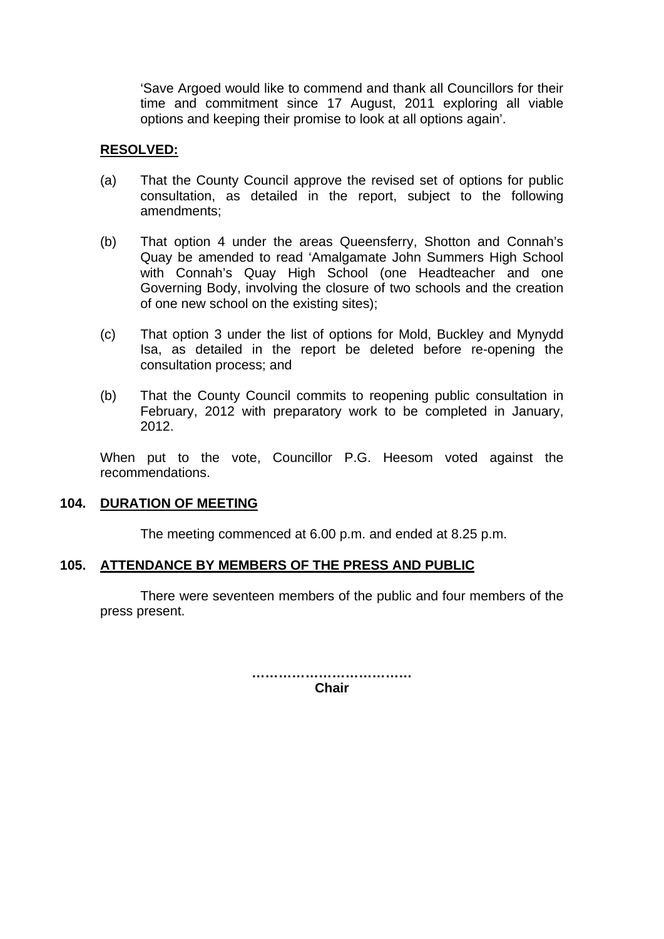'Save Argoed would like to commend and thank all Councillors for their time and commitment since 17 August, 2011 exploring all viable options and keeping their promise to look at all options again'.

### **RESOLVED:**

- (a) That the County Council approve the revised set of options for public consultation, as detailed in the report, subject to the following amendments;
- (b) That option 4 under the areas Queensferry, Shotton and Connah's Quay be amended to read 'Amalgamate John Summers High School with Connah's Quay High School (one Headteacher and one Governing Body, involving the closure of two schools and the creation of one new school on the existing sites);
- (c) That option 3 under the list of options for Mold, Buckley and Mynydd Isa, as detailed in the report be deleted before re-opening the consultation process; and
- (b) That the County Council commits to reopening public consultation in February, 2012 with preparatory work to be completed in January, 2012.

When put to the vote, Councillor P.G. Heesom voted against the recommendations.

#### **104. DURATION OF MEETING**

The meeting commenced at 6.00 p.m. and ended at 8.25 p.m.

#### **105. ATTENDANCE BY MEMBERS OF THE PRESS AND PUBLIC**

There were seventeen members of the public and four members of the press present.

> **……………………………… Chair**